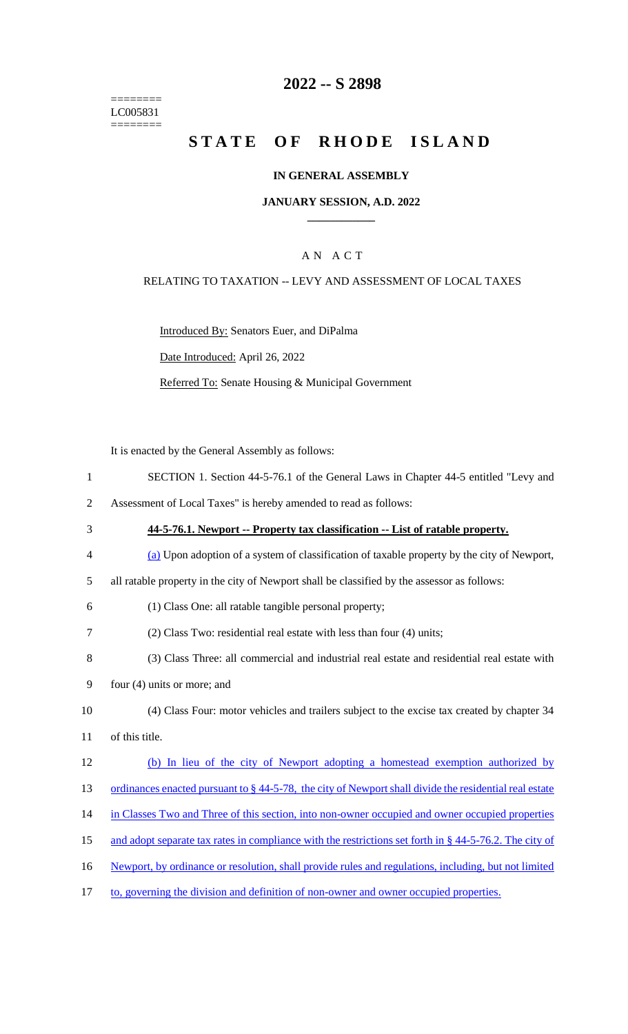======== LC005831 ========

## **2022 -- S 2898**

# **STATE OF RHODE ISLAND**

#### **IN GENERAL ASSEMBLY**

#### **JANUARY SESSION, A.D. 2022 \_\_\_\_\_\_\_\_\_\_\_\_**

### A N A C T

#### RELATING TO TAXATION -- LEVY AND ASSESSMENT OF LOCAL TAXES

Introduced By: Senators Euer, and DiPalma

Date Introduced: April 26, 2022

Referred To: Senate Housing & Municipal Government

It is enacted by the General Assembly as follows:

- 1 SECTION 1. Section 44-5-76.1 of the General Laws in Chapter 44-5 entitled "Levy and
- 2 Assessment of Local Taxes" is hereby amended to read as follows:
- 3 **44-5-76.1. Newport -- Property tax classification -- List of ratable property.** 4 (a) Upon adoption of a system of classification of taxable property by the city of Newport, 5 all ratable property in the city of Newport shall be classified by the assessor as follows: 6 (1) Class One: all ratable tangible personal property; 7 (2) Class Two: residential real estate with less than four (4) units; 8 (3) Class Three: all commercial and industrial real estate and residential real estate with 9 four (4) units or more; and 10 (4) Class Four: motor vehicles and trailers subject to the excise tax created by chapter 34 11 of this title. 12 (b) In lieu of the city of Newport adopting a homestead exemption authorized by 13 ordinances enacted pursuant to § 44-5-78, the city of Newport shall divide the residential real estate 14 in Classes Two and Three of this section, into non-owner occupied and owner occupied properties 15 and adopt separate tax rates in compliance with the restrictions set forth in § 44-5-76.2. The city of 16 Newport, by ordinance or resolution, shall provide rules and regulations, including, but not limited 17 to, governing the division and definition of non-owner and owner occupied properties.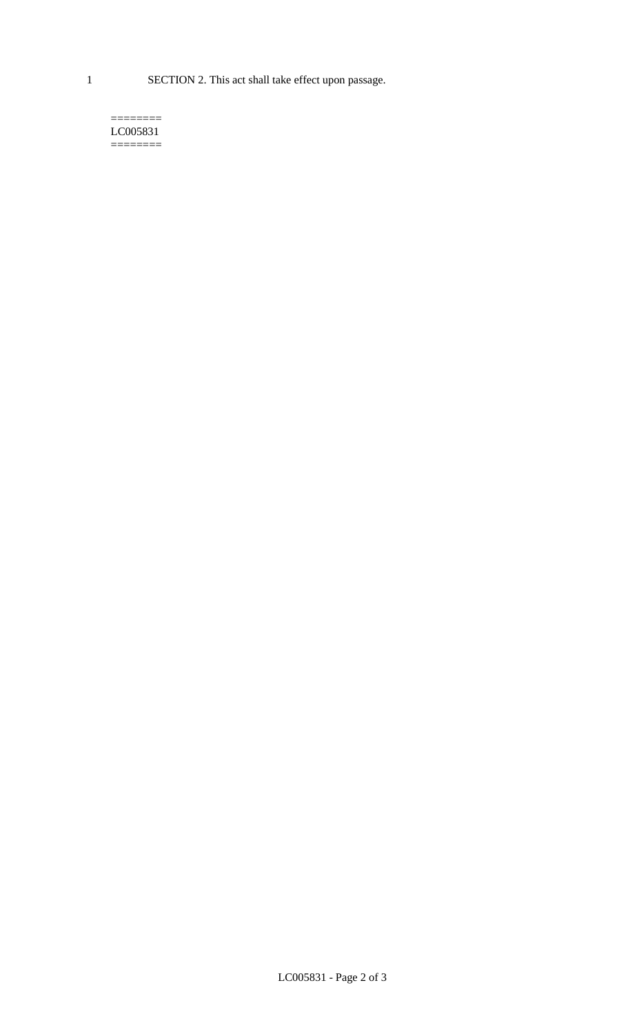1 SECTION 2. This act shall take effect upon passage.

#### $=$ LC005831  $=$